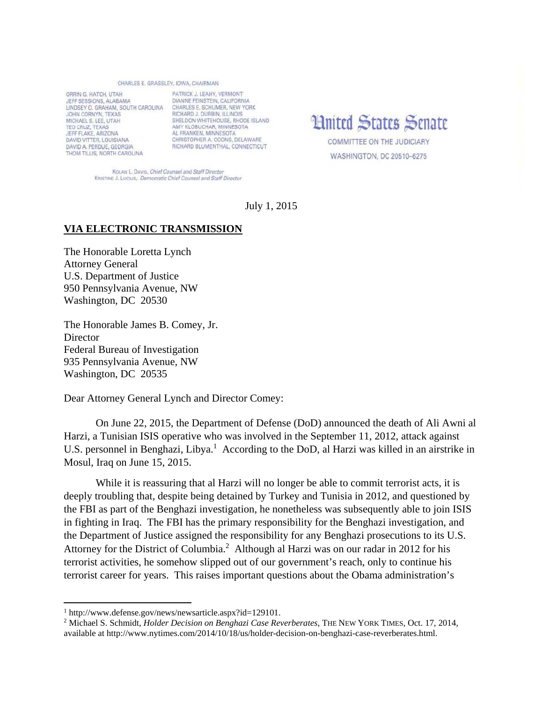## CHARLES E. GRASSLEY, JOWA, CHAIRMAN

ORRIN G. HATCH, UTAH JEFF SESSIONS, ALABAMA LINDSEY O. GRAHAM, SOUTH CAROLINA CHARLES E. SCHUMER, NEW YORK JOHN CORNYN, TEXAS MICHAEL S. LEE, UTAH TED CRUZ, TEXAS JEFF FLAKE, ARIZONA DAVID VITTER, LOUISIANA DAVID A, PERDUE, GEORGIA THOM TILLIS, NORTH CAROLINA

PATRICK J. LEAHY, VERMONT DIANNE FEINSTEIN, CALIFORNIA RICHARD J. DURBIN, ILLINOIS SHELDON WHITEHOUSE, RHODE ISLAND AMY KLOBUCHAR, MINNESOTA AL FRANKEN, MINNESOTA CHRISTOPHER A. COONS. DELAWARE RICHARD BLUMENTHAL, CONNECTICUT

**Hnited States Senate** 

COMMITTEE ON THE JUDICIARY WASHINGTON, DC 20510-6275

KOLAN L. DAVIS, Chief Counsel and Staff Director KRISTINE J. LUCIUS, Democratic Chief Counsel and Staff Director

July 1, 2015

## **VIA ELECTRONIC TRANSMISSION**

The Honorable Loretta Lynch Attorney General U.S. Department of Justice 950 Pennsylvania Avenue, NW Washington, DC 20530

The Honorable James B. Comey, Jr. **Director** Federal Bureau of Investigation 935 Pennsylvania Avenue, NW Washington, DC 20535

Dear Attorney General Lynch and Director Comey:

On June 22, 2015, the Department of Defense (DoD) announced the death of Ali Awni al Harzi, a Tunisian ISIS operative who was involved in the September 11, 2012, attack against U.S. personnel in Benghazi, Libya.<sup>1</sup> According to the DoD, al Harzi was killed in an airstrike in Mosul, Iraq on June 15, 2015.

While it is reassuring that al Harzi will no longer be able to commit terrorist acts, it is deeply troubling that, despite being detained by Turkey and Tunisia in 2012, and questioned by the FBI as part of the Benghazi investigation, he nonetheless was subsequently able to join ISIS in fighting in Iraq. The FBI has the primary responsibility for the Benghazi investigation, and the Department of Justice assigned the responsibility for any Benghazi prosecutions to its U.S. Attorney for the District of Columbia.<sup>2</sup> Although al Harzi was on our radar in 2012 for his terrorist activities, he somehow slipped out of our government's reach, only to continue his terrorist career for years. This raises important questions about the Obama administration's

<sup>1</sup> http://www.defense.gov/news/newsarticle.aspx?id=129101.

<sup>2</sup> Michael S. Schmidt, *Holder Decision on Benghazi Case Reverberates*, THE NEW YORK TIMES, Oct. 17, 2014, available at http://www.nytimes.com/2014/10/18/us/holder-decision-on-benghazi-case-reverberates.html.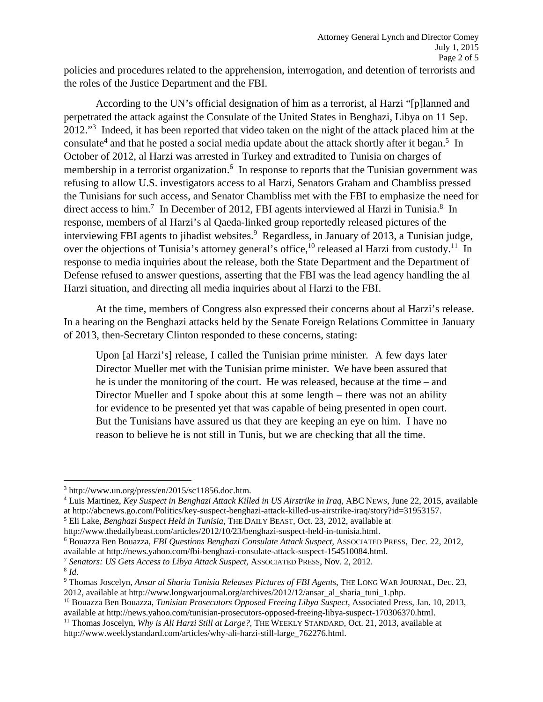policies and procedures related to the apprehension, interrogation, and detention of terrorists and the roles of the Justice Department and the FBI.

According to the UN's official designation of him as a terrorist, al Harzi "[p]lanned and perpetrated the attack against the Consulate of the United States in Benghazi, Libya on 11 Sep. 2012."<sup>3</sup> Indeed, it has been reported that video taken on the night of the attack placed him at the consulate<sup>4</sup> and that he posted a social media update about the attack shortly after it began.<sup>5</sup> In October of 2012, al Harzi was arrested in Turkey and extradited to Tunisia on charges of membership in a terrorist organization.<sup>6</sup> In response to reports that the Tunisian government was refusing to allow U.S. investigators access to al Harzi, Senators Graham and Chambliss pressed the Tunisians for such access, and Senator Chambliss met with the FBI to emphasize the need for direct access to him.<sup>7</sup> In December of 2012, FBI agents interviewed al Harzi in Tunisia.<sup>8</sup> In response, members of al Harzi's al Qaeda-linked group reportedly released pictures of the interviewing FBI agents to jihadist websites.<sup>9</sup> Regardless, in January of 2013, a Tunisian judge, over the objections of Tunisia's attorney general's office,<sup>10</sup> released al Harzi from custody.<sup>11</sup> In response to media inquiries about the release, both the State Department and the Department of Defense refused to answer questions, asserting that the FBI was the lead agency handling the al Harzi situation, and directing all media inquiries about al Harzi to the FBI.

At the time, members of Congress also expressed their concerns about al Harzi's release. In a hearing on the Benghazi attacks held by the Senate Foreign Relations Committee in January of 2013, then-Secretary Clinton responded to these concerns, stating:

Upon [al Harzi's] release, I called the Tunisian prime minister. A few days later Director Mueller met with the Tunisian prime minister. We have been assured that he is under the monitoring of the court. He was released, because at the time – and Director Mueller and I spoke about this at some length – there was not an ability for evidence to be presented yet that was capable of being presented in open court. But the Tunisians have assured us that they are keeping an eye on him. I have no reason to believe he is not still in Tunis, but we are checking that all the time.

 <sup>3</sup> http://www.un.org/press/en/2015/sc11856.doc.htm.<br><sup>4</sup> Luis Martinez, *Key Suspect in Benghazi Attack Kille* 

Luis Martinez, *Key Suspect in Benghazi Attack Killed in US Airstrike in Iraq*, ABC NEWS, June 22, 2015, available at http://abcnews.go.com/Politics/key-suspect-benghazi-attack-killed-us-airstrike-iraq/story?id=31953157. 5

Eli Lake, *Benghazi Suspect Held in Tunisia*, THE DAILY BEAST, Oct. 23, 2012, available at

http://www.thedailybeast.com/articles/2012/10/23/benghazi-suspect-held-in-tunisia.html. 6

Bouazza Ben Bouazza, *FBI Questions Benghazi Consulate Attack Suspect*, ASSOCIATED PRESS, Dec. 22, 2012,

available at http://news.yahoo.com/fbi-benghazi-consulate-attack-suspect-154510084.html.<br><sup>7</sup> *Senators: US Gets Access to Libya Attack Suspect*, ASSOCIATED PRESS, Nov. 2, 2012.<br><sup>8</sup> *Id*.

Thomas Joscelyn, *Ansar al Sharia Tunisia Releases Pictures of FBI Agents*, THE LONG WAR JOURNAL, Dec. 23, 2012, available at http://www.longwarjournal.org/archives/2012/12/ansar\_al\_sharia\_tuni\_1.php.

<sup>&</sup>lt;sup>10</sup> Bouazza Ben Bouazza, *Tunisian Prosecutors Opposed Freeing Libya Suspect*, Associated Press, Jan. 10, 2013, available at http://news.yahoo.com/tunisian-prosecutors-opposed-freeing-libya-suspect-170306370.html.

<sup>&</sup>lt;sup>11</sup> Thomas Joscelyn, *Why is Ali Harzi Still at Large?*, THE WEEKLY STANDARD, Oct. 21, 2013, available at http://www.weeklystandard.com/articles/why-ali-harzi-still-large\_762276.html.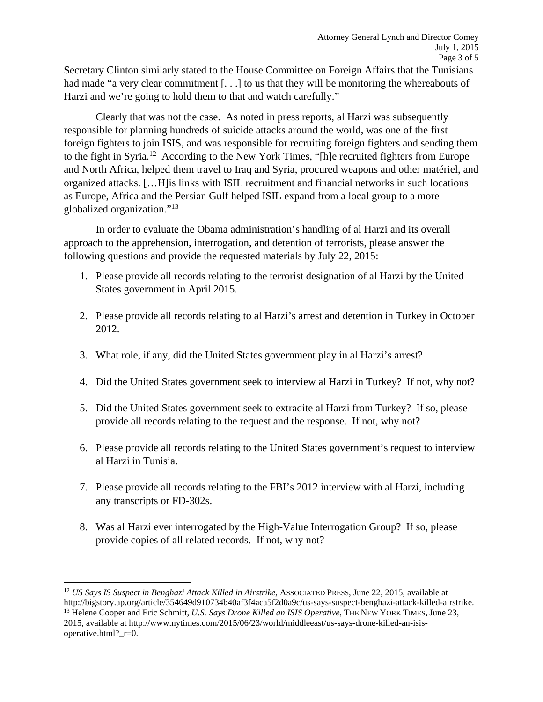Secretary Clinton similarly stated to the House Committee on Foreign Affairs that the Tunisians had made "a very clear commitment [...] to us that they will be monitoring the whereabouts of Harzi and we're going to hold them to that and watch carefully."

Clearly that was not the case. As noted in press reports, al Harzi was subsequently responsible for planning hundreds of suicide attacks around the world, was one of the first foreign fighters to join ISIS, and was responsible for recruiting foreign fighters and sending them to the fight in Syria.12 According to the New York Times, "[h]e recruited fighters from Europe and North Africa, helped them travel to Iraq and Syria, procured weapons and other matériel, and organized attacks. […H]is links with ISIL recruitment and financial networks in such locations as Europe, Africa and the Persian Gulf helped ISIL expand from a local group to a more globalized organization."13

 In order to evaluate the Obama administration's handling of al Harzi and its overall approach to the apprehension, interrogation, and detention of terrorists, please answer the following questions and provide the requested materials by July 22, 2015:

- 1. Please provide all records relating to the terrorist designation of al Harzi by the United States government in April 2015.
- 2. Please provide all records relating to al Harzi's arrest and detention in Turkey in October 2012.
- 3. What role, if any, did the United States government play in al Harzi's arrest?
- 4. Did the United States government seek to interview al Harzi in Turkey? If not, why not?
- 5. Did the United States government seek to extradite al Harzi from Turkey? If so, please provide all records relating to the request and the response. If not, why not?
- 6. Please provide all records relating to the United States government's request to interview al Harzi in Tunisia.
- 7. Please provide all records relating to the FBI's 2012 interview with al Harzi, including any transcripts or FD-302s.
- 8. Was al Harzi ever interrogated by the High-Value Interrogation Group? If so, please provide copies of all related records. If not, why not?

<sup>12</sup> *US Says IS Suspect in Benghazi Attack Killed in Airstrike, ASSOCIATED PRESS, June 22, 2015, available at* http://bigstory.ap.org/article/354649d910734b40af3f4aca5f2d0a9c/us-says-suspect-benghazi-attack-killed-airstrike.<br><sup>13</sup> Helene Cooper and Eric Schmitt, U.S. Says Drone Killed an ISIS Operative, THE NEW YORK TIMES, June 23, 2015, available at http://www.nytimes.com/2015/06/23/world/middleeast/us-says-drone-killed-an-isisoperative.html?\_r=0.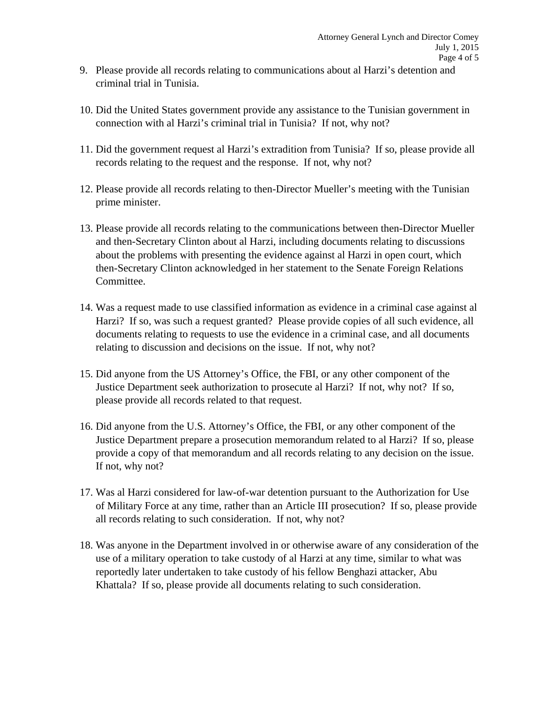- 9. Please provide all records relating to communications about al Harzi's detention and criminal trial in Tunisia.
- 10. Did the United States government provide any assistance to the Tunisian government in connection with al Harzi's criminal trial in Tunisia? If not, why not?
- 11. Did the government request al Harzi's extradition from Tunisia? If so, please provide all records relating to the request and the response. If not, why not?
- 12. Please provide all records relating to then-Director Mueller's meeting with the Tunisian prime minister.
- 13. Please provide all records relating to the communications between then-Director Mueller and then-Secretary Clinton about al Harzi, including documents relating to discussions about the problems with presenting the evidence against al Harzi in open court, which then-Secretary Clinton acknowledged in her statement to the Senate Foreign Relations Committee.
- 14. Was a request made to use classified information as evidence in a criminal case against al Harzi? If so, was such a request granted? Please provide copies of all such evidence, all documents relating to requests to use the evidence in a criminal case, and all documents relating to discussion and decisions on the issue. If not, why not?
- 15. Did anyone from the US Attorney's Office, the FBI, or any other component of the Justice Department seek authorization to prosecute al Harzi? If not, why not? If so, please provide all records related to that request.
- 16. Did anyone from the U.S. Attorney's Office, the FBI, or any other component of the Justice Department prepare a prosecution memorandum related to al Harzi? If so, please provide a copy of that memorandum and all records relating to any decision on the issue. If not, why not?
- 17. Was al Harzi considered for law-of-war detention pursuant to the Authorization for Use of Military Force at any time, rather than an Article III prosecution? If so, please provide all records relating to such consideration. If not, why not?
- 18. Was anyone in the Department involved in or otherwise aware of any consideration of the use of a military operation to take custody of al Harzi at any time, similar to what was reportedly later undertaken to take custody of his fellow Benghazi attacker, Abu Khattala? If so, please provide all documents relating to such consideration.